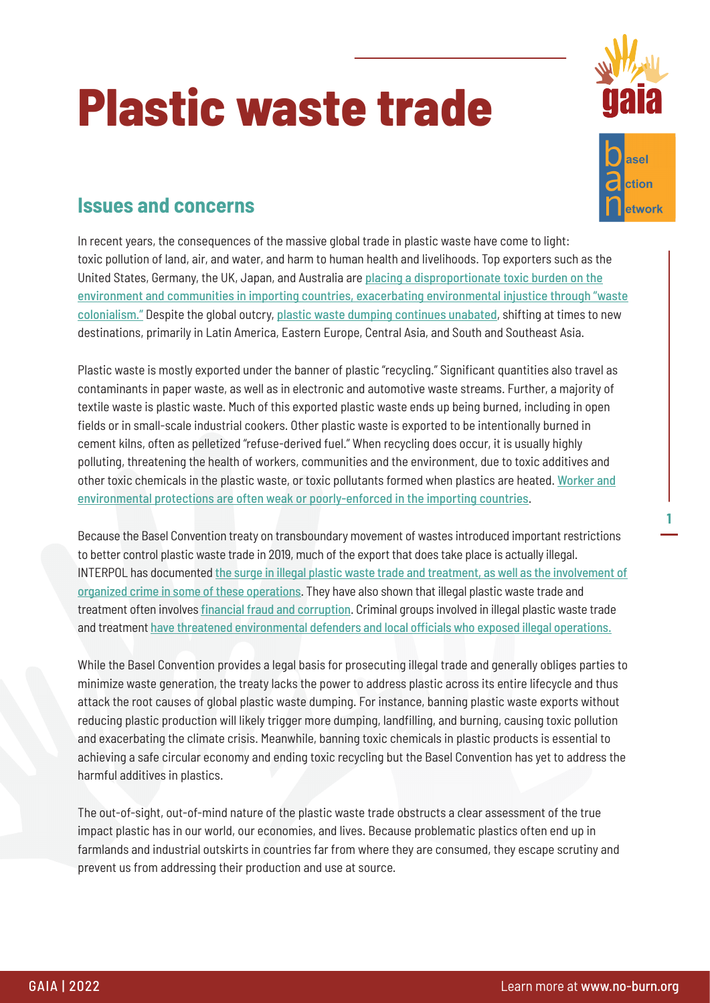## **Plastic waste trade**





**1**

## **Issues and concerns**

In recent years, the consequences of the massive global trade in plastic waste have come to light: toxic pollution of land, air, and water, and harm to human health and livelihoods. Top exporters such as the United States, Germany, the UK, Japan, and Australia are [placing a disproportionate toxic burden on the](https://www.no-burn.org/resources/discarded-communities-on-the-frontlines-of-the-global-plastic-crisis/) [environment and communities in importing countries, exacerbating environmental injustice through "waste](https://www.no-burn.org/resources/discarded-communities-on-the-frontlines-of-the-global-plastic-crisis/) [colonialism."](https://www.no-burn.org/resources/discarded-communities-on-the-frontlines-of-the-global-plastic-crisis/) Despite the global outcry, [plastic waste dumping continues unabated](https://www.ban.org/plastic-waste-transparency-project-hub/trade-data), shifting at times to new destinations, primarily in Latin America, Eastern Europe, Central Asia, and South and Southeast Asia.

Plastic waste is mostly exported under the banner of plastic "recycling." Significant quantities also travel as contaminants in paper waste, as well as in electronic and automotive waste streams. Further, a majority of textile waste is plastic waste. Much of this exported plastic waste ends up being burned, including in open fields or in small-scale industrial cookers. Other plastic waste is exported to be intentionally burned in cement kilns, often as pelletized "refuse-derived fuel." When recycling does occur, it is usually highly polluting, threatening the health of workers, communities and the environment, due to toxic additives and other toxic chemicals in the plastic waste, or toxic pollutants formed when plastics are heated. [Worker and](https://www.greenpeace.org/malaysia/publication/3349/the-recycling-myth-2-0/) [environmental protections are often weak or poorly-enforced in the importing countries](https://www.greenpeace.org/malaysia/publication/3349/the-recycling-myth-2-0/).

Because the Basel Convention treaty on transboundary movement of wastes introduced important restrictions to better control plastic waste trade in 2019, much of the export that does take place is actually illegal. INTERPOL has documented [the surge in illegal plastic waste trade and treatment, as well as the involvement of](https://www.interpol.int/News-and-Events/News/2020/INTERPOL-report-alerts-to-sharp-rise-in-plastic-waste-crime) [organized crime in some of these operations](https://www.interpol.int/News-and-Events/News/2020/INTERPOL-report-alerts-to-sharp-rise-in-plastic-waste-crime). They have also shown that illegal plastic waste trade and treatment often involves [financial fraud and corruption](https://www.interpol.int/News-and-Events/News/2020/INTERPOL-report-alerts-to-sharp-rise-in-plastic-waste-crime). Criminal groups involved in illegal plastic waste trade and treatment [have threatened environmental defenders and local officials who exposed illegal operations.](https://www.no-burn.org/resources/discarded-communities-on-the-frontlines-of-the-global-plastic-crisis/)

While the Basel Convention provides a legal basis for prosecuting illegal trade and generally obliges parties to minimize waste generation, the treaty lacks the power to address plastic across its entire lifecycle and thus attack the root causes of global plastic waste dumping. For instance, banning plastic waste exports without reducing plastic production will likely trigger more dumping, landfilling, and burning, causing toxic pollution and exacerbating the climate crisis. Meanwhile, banning toxic chemicals in plastic products is essential to achieving a safe circular economy and ending toxic recycling but the Basel Convention has yet to address the harmful additives in plastics.

The out-of-sight, out-of-mind nature of the plastic waste trade obstructs a clear assessment of the true impact plastic has in our world, our economies, and lives. Because problematic plastics often end up in farmlands and industrial outskirts in countries far from where they are consumed, they escape scrutiny and prevent us from addressing their production and use at source.